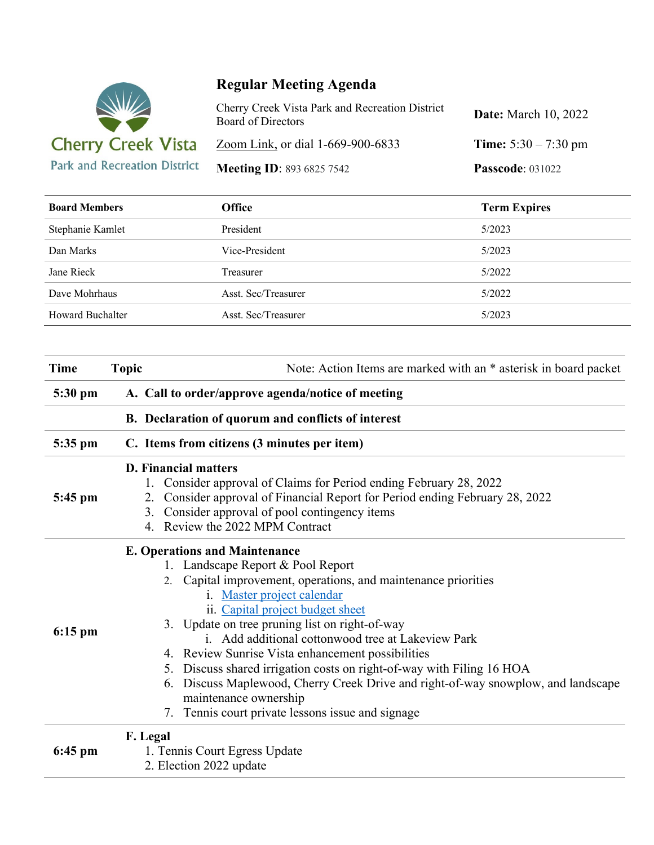

## **Regular Meeting Agenda**

| Cherry Creek Vista Park and Recreation District<br><b>Board of Directors</b> | <b>Date:</b> March 10, 2022   |
|------------------------------------------------------------------------------|-------------------------------|
| Zoom Link, or dial 1-669-900-6833                                            | <b>Time:</b> $5:30 - 7:30$ pm |
| <b>Meeting ID: 893 6825 7542</b>                                             | <b>Passcode: 031022</b>       |

| <b>Board Members</b>    | <b>Office</b>       | <b>Term Expires</b> |
|-------------------------|---------------------|---------------------|
| Stephanie Kamlet        | President           | 5/2023              |
| Dan Marks               | Vice-President      | 5/2023              |
| Jane Rieck              | Treasurer           | 5/2022              |
| Dave Mohrhaus           | Asst. Sec/Treasurer | 5/2022              |
| <b>Howard Buchalter</b> | Asst. Sec/Treasurer | 5/2023              |

| <b>Time</b> | <b>Topic</b><br>Note: Action Items are marked with an * asterisk in board packet                                                                                                                                                                                                                                                                                                                                                                                                                                                                                                                                          |  |  |
|-------------|---------------------------------------------------------------------------------------------------------------------------------------------------------------------------------------------------------------------------------------------------------------------------------------------------------------------------------------------------------------------------------------------------------------------------------------------------------------------------------------------------------------------------------------------------------------------------------------------------------------------------|--|--|
| 5:30 pm     | A. Call to order/approve agenda/notice of meeting                                                                                                                                                                                                                                                                                                                                                                                                                                                                                                                                                                         |  |  |
|             | B. Declaration of quorum and conflicts of interest                                                                                                                                                                                                                                                                                                                                                                                                                                                                                                                                                                        |  |  |
| 5:35 pm     | C. Items from citizens (3 minutes per item)                                                                                                                                                                                                                                                                                                                                                                                                                                                                                                                                                                               |  |  |
| $5:45$ pm   | <b>D. Financial matters</b><br>Consider approval of Claims for Period ending February 28, 2022<br>Consider approval of Financial Report for Period ending February 28, 2022<br>2.<br>Consider approval of pool contingency items<br>3.<br>4. Review the 2022 MPM Contract                                                                                                                                                                                                                                                                                                                                                 |  |  |
| $6:15$ pm   | <b>E. Operations and Maintenance</b><br>1. Landscape Report & Pool Report<br>2. Capital improvement, operations, and maintenance priorities<br>i. Master project calendar<br>ii. Capital project budget sheet<br>3. Update on tree pruning list on right-of-way<br>i. Add additional cottonwood tree at Lakeview Park<br>4. Review Sunrise Vista enhancement possibilities<br>5. Discuss shared irrigation costs on right-of-way with Filing 16 HOA<br>Discuss Maplewood, Cherry Creek Drive and right-of-way snowplow, and landscape<br>6.<br>maintenance ownership<br>7. Tennis court private lessons issue and signage |  |  |
| $6:45$ pm   | F. Legal<br>1. Tennis Court Egress Update<br>2. Election 2022 update                                                                                                                                                                                                                                                                                                                                                                                                                                                                                                                                                      |  |  |